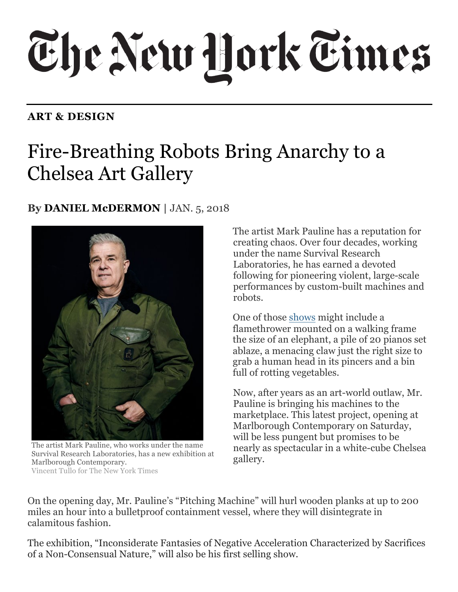## The New York Times

## **ART & DESIGN**

## Chelsea Art Gallery Fire-Breathing Robots Bring Anarchy to a

## **By DANIEL McDERMON** | JAN. 5, 2018



 The artist Mark Pauline, who works under the name Survival Research Laboratories, has a new exhibition at Vincent Tullo for The New York Times Marlborough Contemporary.

 creating chaos. Over four decades, working The artist Mark Pauline has a reputation for under the name Survival Research Laboratories, he has earned a devoted following for pioneering violent, large-scale performances by custom-built machines and robots.

One of those shows might include a flamethrower mounted on a walking frame the size of an elephant, a pile of 20 pianos set ablaze, a menacing claw just the right size to grab a human head in its pincers and a bin full of rotting vegetables.

 Now, after years as an art-world outlaw, Mr. marketplace. This latest project, opening at Marlborough Contemporary on Saturday, will be less pungent but promises to be Pauline is bringing his machines to the nearly as spectacular in a white-cube Chelsea gallery.

 On the opening day, Mr. Pauline's "Pitching Machine" will hurl wooden planks at up to 200 miles an hour into a bulletproof containment vessel, where they will disintegrate in calamitous fashion.

 of a Non-Consensual Nature," will also be his first selling show. The exhibition, "Inconsiderate Fantasies of Negative Acceleration Characterized by Sacrifices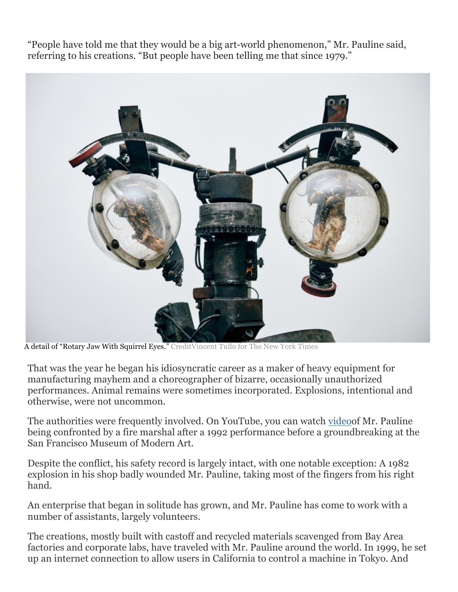"People have told me that they would be a big art-world phenomenon," Mr. Pauline said, referring to his creations. "But people have been telling me that since 1979."



A detail of "Rotary Jaw With Squirrel Eyes." CreditVincent Tullo for The New York Times

 That was the year he began his idiosyncratic career as a maker of heavy equipment for manufacturing mayhem and a choreographer of bizarre, occasionally unauthorized performances. Animal remains were sometimes incorporated. Explosions, intentional and otherwise, were not uncommon.

The authorities were frequently involved. On YouTube, you can watch videoof Mr. Pauline being confronted by a fire marshal after a 1992 performance before a groundbreaking at the San Francisco Museum of Modern Art.

 Despite the conflict, his safety record is largely intact, with one notable exception: A 1982 explosion in his shop badly wounded Mr. Pauline, taking most of the fingers from his right hand.

 An enterprise that began in solitude has grown, and Mr. Pauline has come to work with a number of assistants, largely volunteers.

 factories and corporate labs, have traveled with Mr. Pauline around the world. In 1999, he set up an internet connection to allow users in California to control a machine in Tokyo. And The creations, mostly built with castoff and recycled materials scavenged from Bay Area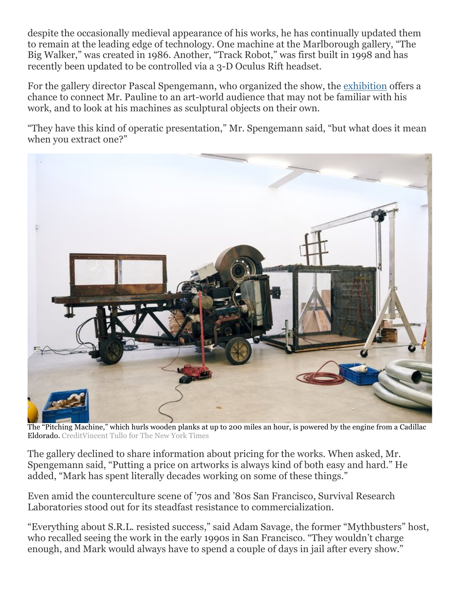despite the occasionally medieval appearance of his works, he has continually updated them Big Walker," was created in 1986. Another, "Track Robot," was first built in 1998 and has recently been updated to be controlled via a 3-D Oculus Rift headset. to remain at the leading edge of technology. One machine at the Marlborough gallery, "The

For the gallery director Pascal Spengemann, who organized the show, the <u>exhibition</u> offers a chance to connect Mr. Pauline to an art-world audience that may not be familiar with his work, and to look at his machines as sculptural objects on their own.

 when you extract one?" "They have this kind of operatic presentation," Mr. Spengemann said, "but what does it mean



 The "Pitching Machine," which hurls wooden planks at up to 200 miles an hour, is powered by the engine from a Cadillac Eldorado. CreditVincent Tullo for The New York Times

 The gallery declined to share information about pricing for the works. When asked, Mr. Spengemann said, "Putting a price on artworks is always kind of both easy and hard." He added, "Mark has spent literally decades working on some of these things."

 Even amid the counterculture scene of '70s and '80s San Francisco, Survival Research Laboratories stood out for its steadfast resistance to commercialization.

 "Everything about S.R.L. resisted success," said Adam Savage, the former "Mythbusters" host, who recalled seeing the work in the early 1990s in San Francisco. "They wouldn't charge enough, and Mark would always have to spend a couple of days in jail after every show."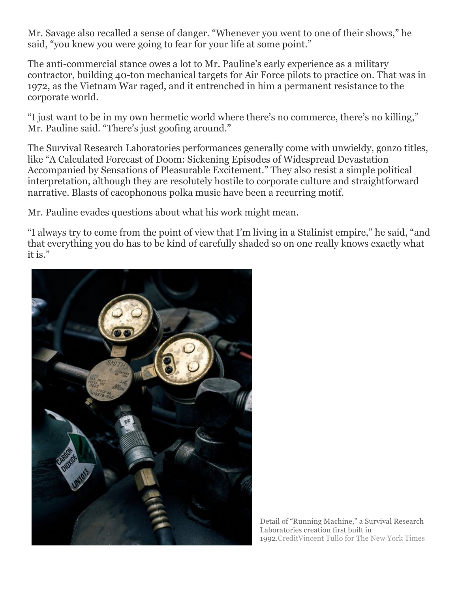Mr. Savage also recalled a sense of danger. "Whenever you went to one of their shows," he said, "you knew you were going to fear for your life at some point."

The anti-commercial stance owes a lot to Mr. Pauline's early experience as a military contractor, building 40-ton mechanical targets for Air Force pilots to practice on. That was in 1972, as the Vietnam War raged, and it entrenched in him a permanent resistance to the corporate world.

 "I just want to be in my own hermetic world where there's no commerce, there's no killing," Mr. Pauline said. "There's just goofing around."

 Accompanied by Sensations of Pleasurable Excitement." They also resist a simple political The Survival Research Laboratories performances generally come with unwieldy, gonzo titles, like "A Calculated Forecast of Doom: Sickening Episodes of Widespread Devastation interpretation, although they are resolutely hostile to corporate culture and straightforward narrative. Blasts of cacophonous polka music have been a recurring motif.

Mr. Pauline evades questions about what his work might mean.

"I always try to come from the point of view that I'm living in a Stalinist empire," he said, "and that everything you do has to be kind of carefully shaded so on one really knows exactly what it is."



 Detail of "Running Machine," a Survival Research Laboratories creation first built in 1992.CreditVincent Tullo for The New York Times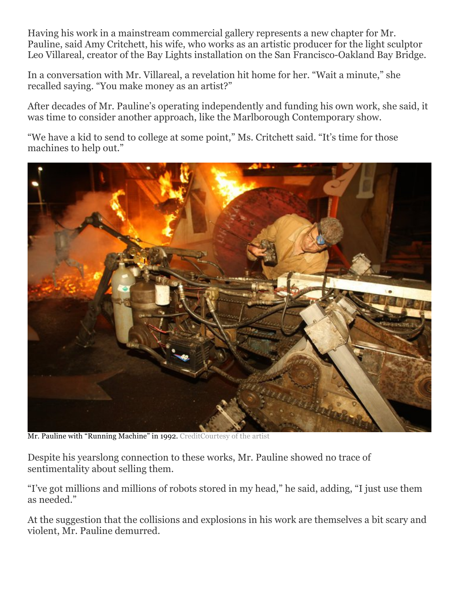Having his work in a mainstream commercial gallery represents a new chapter for Mr. Pauline, said Amy Critchett, his wife, who works as an artistic producer for the light sculptor Leo Villareal, creator of the Bay Lights installation on the San Francisco-Oakland Bay Bridge.

In a conversation with Mr. Villareal, a revelation hit home for her. "Wait a minute," she recalled saying. "You make money as an artist?"

 After decades of Mr. Pauline's operating independently and funding his own work, she said, it was time to consider another approach, like the Marlborough Contemporary show.

 machines to help out." "We have a kid to send to college at some point," Ms. Critchett said. "It's time for those



Mr. Pauline with "Running Machine" in 1992. CreditCourtesy of the artist

 Despite his yearslong connection to these works, Mr. Pauline showed no trace of sentimentality about selling them.

"I've got millions and millions of robots stored in my head," he said, adding, "I just use them as needed."

At the suggestion that the collisions and explosions in his work are themselves a bit scary and violent, Mr. Pauline demurred.